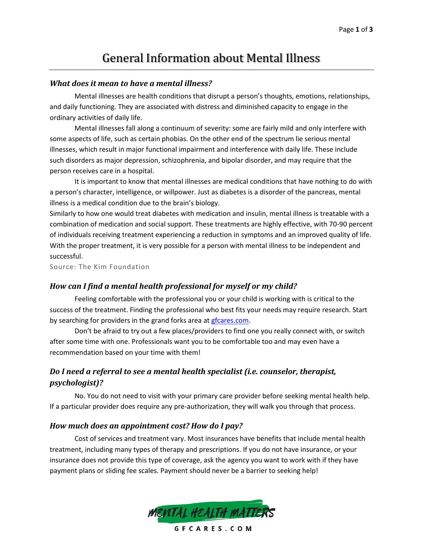# General Information about Mental Illness

#### *What does it mean to have a mental illness?*

Mental illnesses are health conditions that disrupt a person's thoughts, emotions, relationships, and daily functioning. They are associated with distress and diminished capacity to engage in the ordinary activities of daily life.

Mental illnesses fall along a continuum of severity: some are fairly mild and only interfere with some aspects of life, such as certain phobias. On the other end of the spectrum lie serious mental illnesses, which result in major functional impairment and interference with daily life. These include such disorders as major depression, schizophrenia, and bipolar disorder, and may require that the person receives care in a hospital.

It is important to know that mental illnesses are medical conditions that have nothing to do with a person's character, intelligence, or willpower. Just as diabetes is a disorder of the pancreas, mental illness is a medical condition due to the brain's biology.

Similarly to how one would treat diabetes with medication and insulin, mental illness is treatable with a combination of medication and social support. These treatments are highly effective, with 70-90 percent of individuals receiving treatment experiencing a reduction in symptoms and an improved quality of life. With the proper treatment, it is very possible for a person with mental illness to be independent and successful.

Source: The Kim Foundation

#### *How can I find a mental health professional for myself or my child?*

Feeling comfortable with the professional you or your child is working with is critical to the success of the treatment. Finding the professional who best fits your needs may require research. Start by searching for providers in the grand forks area at gfcares.com.

Don't be afraid to try out a few places/providers to find one you really connect with, or switch after some time with one. Professionals want you to be comfortable too and may even have a recommendation based on your time with them!

## *Do I need a referral to see a mental health specialist (i.e. counselor, therapist, psychologist)?*

No. You do not need to visit with your primary care provider before seeking mental health help. If a particular provider does require any pre-authorization, they will walk you through that process.

#### *How much does an appointment cost? How do I pay?*

Cost of services and treatment vary. Most insurances have benefits that include mental health treatment, including many types of therapy and prescriptions. If you do not have insurance, or your insurance does not provide this type of coverage, ask the agency you want to work with if they have payment plans or sliding fee scales. Payment should never be a barrier to seeking help!

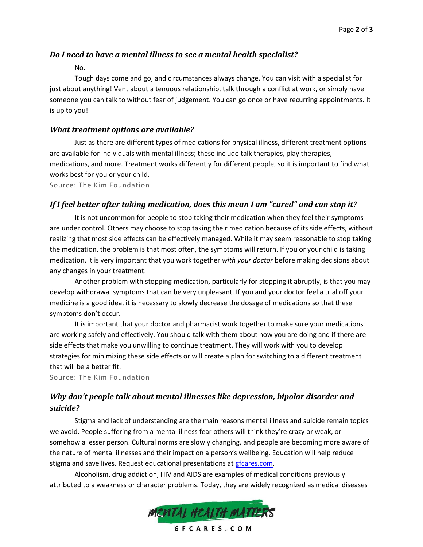#### *Do I need to have a mental illness to see a mental health specialist?*

No.

Tough days come and go, and circumstances always change. You can visit with a specialist for just about anything! Vent about a tenuous relationship, talk through a conflict at work, or simply have someone you can talk to without fear of judgement. You can go once or have recurring appointments. It is up to you!

#### *What treatment options are available?*

Just as there are different types of medications for physical illness, different treatment options are available for individuals with mental illness; these include talk therapies, play therapies, medications, and more. Treatment works differently for different people, so it is important to find what works best for you or your child.

Source: The Kim Foundation

#### *If I feel better after taking medication, does this mean I am "cured" and can stop it?*

It is not uncommon for people to stop taking their medication when they feel their symptoms are under control. Others may choose to stop taking their medication because of its side effects, without realizing that most side effects can be effectively managed. While it may seem reasonable to stop taking the medication, the problem is that most often, the symptoms will return. If you or your child is taking medication, it is very important that you work together *with your doctor* before making decisions about any changes in your treatment.

Another problem with stopping medication, particularly for stopping it abruptly, is that you may develop withdrawal symptoms that can be very unpleasant. If you and your doctor feel a trial off your medicine is a good idea, it is necessary to slowly decrease the dosage of medications so that these symptoms don't occur.

It is important that your doctor and pharmacist work together to make sure your medications are working safely and effectively. You should talk with them about how you are doing and if there are side effects that make you unwilling to continue treatment. They will work with you to develop strategies for minimizing these side effects or will create a plan for switching to a different treatment that will be a better fit.

Source: The Kim Foundation

## *Why don't people talk about mental illnesses like depression, bipolar disorder and suicide?*

Stigma and lack of understanding are the main reasons mental illness and suicide remain topics we avoid. People suffering from a mental illness fear others will think they're crazy or weak, or somehow a lesser person. Cultural norms are slowly changing, and people are becoming more aware of the nature of mental illnesses and their impact on a person's wellbeing. Education will help reduce stigma and save lives. Request educational presentations at gfcares.com.

Alcoholism, drug addiction, HIV and AIDS are examples of medical conditions previously attributed to a weakness or character problems. Today, they are widely recognized as medical diseases



GFCARES.COM